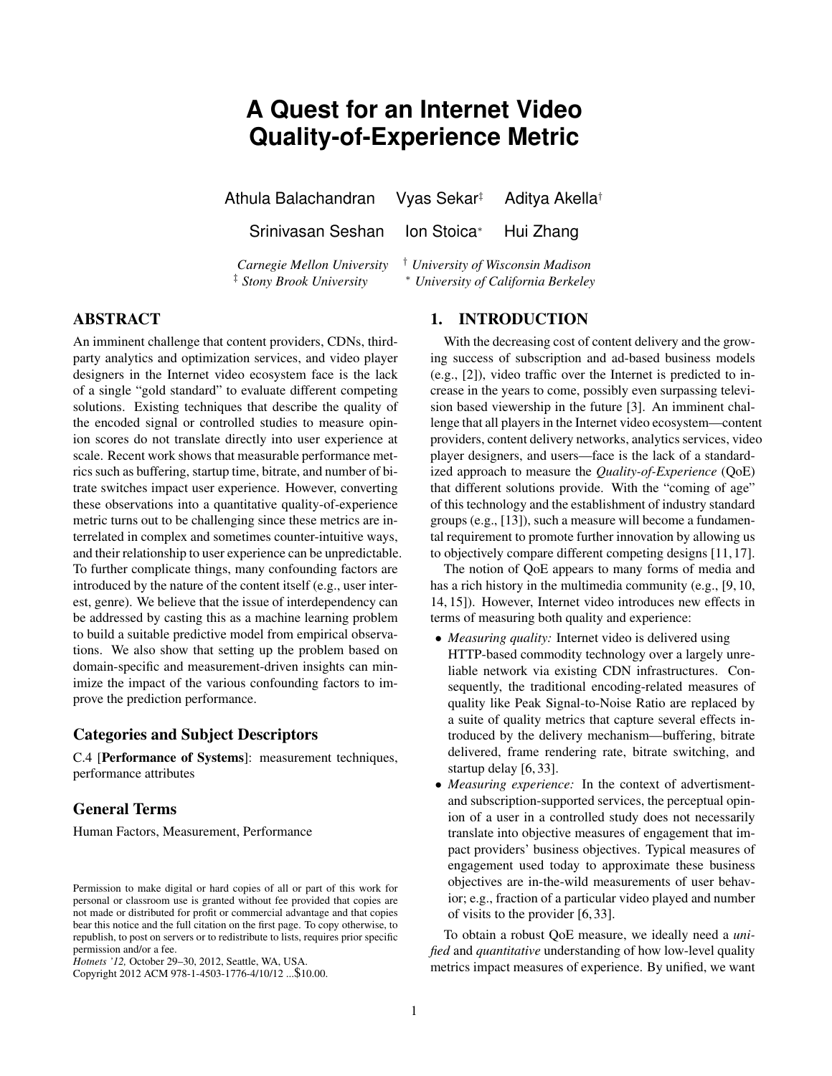# **A Quest for an Internet Video Quality-of-Experience Metric**

Athula Balachandran Vyas Sekar*‡* Aditya Akella*†*

Srinivasan Seshan Ion Stoica<sup>\*</sup> Hui Zhang

*Carnegie Mellon University † University of Wisconsin Madison ‡ Stony Brook University* ⇤ *University of California Berkeley*

### ABSTRACT

An imminent challenge that content providers, CDNs, thirdparty analytics and optimization services, and video player designers in the Internet video ecosystem face is the lack of a single "gold standard" to evaluate different competing solutions. Existing techniques that describe the quality of the encoded signal or controlled studies to measure opinion scores do not translate directly into user experience at scale. Recent work shows that measurable performance metrics such as buffering, startup time, bitrate, and number of bitrate switches impact user experience. However, converting these observations into a quantitative quality-of-experience metric turns out to be challenging since these metrics are interrelated in complex and sometimes counter-intuitive ways, and their relationship to user experience can be unpredictable. To further complicate things, many confounding factors are introduced by the nature of the content itself (e.g., user interest, genre). We believe that the issue of interdependency can be addressed by casting this as a machine learning problem to build a suitable predictive model from empirical observations. We also show that setting up the problem based on domain-specific and measurement-driven insights can minimize the impact of the various confounding factors to improve the prediction performance.

## Categories and Subject Descriptors

C.4 [Performance of Systems]: measurement techniques, performance attributes

# General Terms

Human Factors, Measurement, Performance

Copyright 2012 ACM 978-1-4503-1776-4/10/12 ...\$10.00.

#### 1. INTRODUCTION

With the decreasing cost of content delivery and the growing success of subscription and ad-based business models (e.g., [2]), video traffic over the Internet is predicted to increase in the years to come, possibly even surpassing television based viewership in the future [3]. An imminent challenge that all players in the Internet video ecosystem—content providers, content delivery networks, analytics services, video player designers, and users—face is the lack of a standardized approach to measure the *Quality-of-Experience* (QoE) that different solutions provide. With the "coming of age" of this technology and the establishment of industry standard groups (e.g., [13]), such a measure will become a fundamental requirement to promote further innovation by allowing us to objectively compare different competing designs [11, 17].

The notion of QoE appears to many forms of media and has a rich history in the multimedia community (e.g., [9, 10, 14, 15]). However, Internet video introduces new effects in terms of measuring both quality and experience:

- *• Measuring quality:* Internet video is delivered using HTTP-based commodity technology over a largely unreliable network via existing CDN infrastructures. Consequently, the traditional encoding-related measures of quality like Peak Signal-to-Noise Ratio are replaced by a suite of quality metrics that capture several effects introduced by the delivery mechanism—buffering, bitrate delivered, frame rendering rate, bitrate switching, and startup delay [6, 33].
- *• Measuring experience:* In the context of advertismentand subscription-supported services, the perceptual opinion of a user in a controlled study does not necessarily translate into objective measures of engagement that impact providers' business objectives. Typical measures of engagement used today to approximate these business objectives are in-the-wild measurements of user behavior; e.g., fraction of a particular video played and number of visits to the provider [6, 33].

To obtain a robust QoE measure, we ideally need a *unified* and *quantitative* understanding of how low-level quality metrics impact measures of experience. By unified, we want

Permission to make digital or hard copies of all or part of this work for personal or classroom use is granted without fee provided that copies are not made or distributed for profit or commercial advantage and that copies bear this notice and the full citation on the first page. To copy otherwise, to republish, to post on servers or to redistribute to lists, requires prior specific permission and/or a fee.

*Hotnets '12,* October 29–30, 2012, Seattle, WA, USA.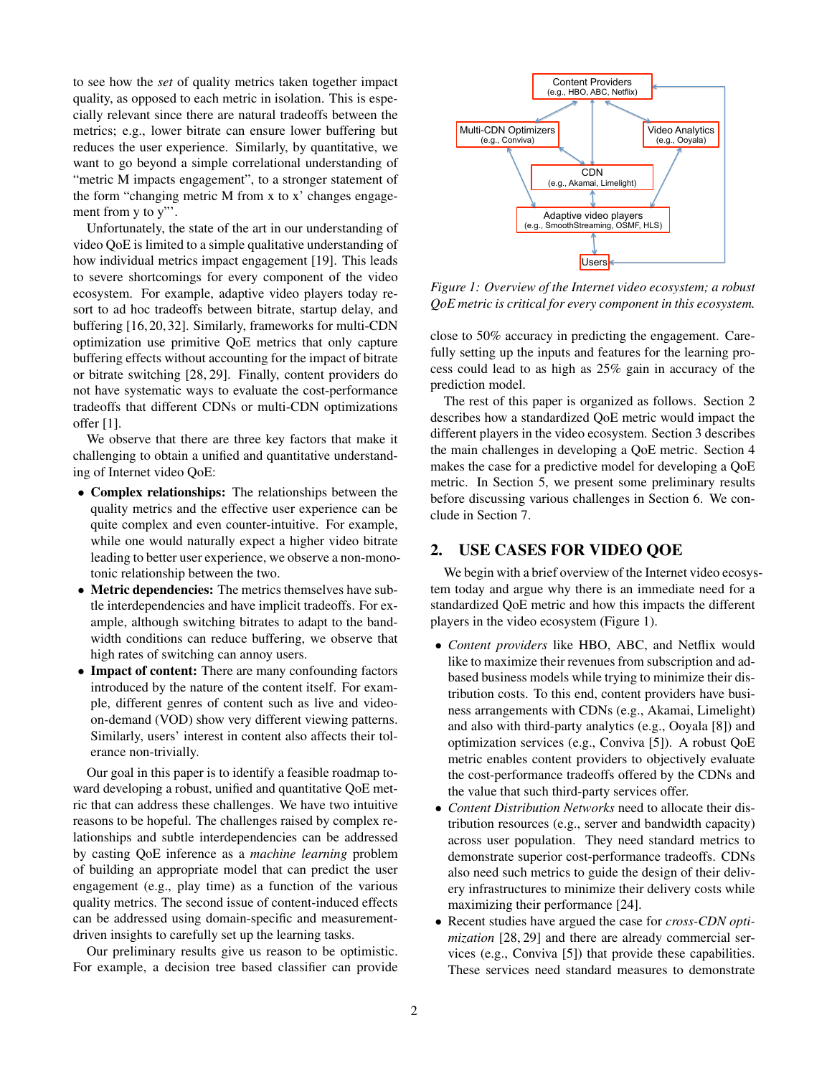to see how the *set* of quality metrics taken together impact quality, as opposed to each metric in isolation. This is especially relevant since there are natural tradeoffs between the metrics; e.g., lower bitrate can ensure lower buffering but reduces the user experience. Similarly, by quantitative, we want to go beyond a simple correlational understanding of "metric M impacts engagement", to a stronger statement of the form "changing metric M from x to x' changes engagement from y to y"'.

Unfortunately, the state of the art in our understanding of video QoE is limited to a simple qualitative understanding of how individual metrics impact engagement [19]. This leads to severe shortcomings for every component of the video ecosystem. For example, adaptive video players today resort to ad hoc tradeoffs between bitrate, startup delay, and buffering [16, 20, 32]. Similarly, frameworks for multi-CDN optimization use primitive QoE metrics that only capture buffering effects without accounting for the impact of bitrate or bitrate switching [28, 29]. Finally, content providers do not have systematic ways to evaluate the cost-performance tradeoffs that different CDNs or multi-CDN optimizations offer [1].

We observe that there are three key factors that make it challenging to obtain a unified and quantitative understanding of Internet video QoE:

- *•* Complex relationships: The relationships between the quality metrics and the effective user experience can be quite complex and even counter-intuitive. For example, while one would naturally expect a higher video bitrate leading to better user experience, we observe a non-monotonic relationship between the two.
- Metric dependencies: The metrics themselves have subtle interdependencies and have implicit tradeoffs. For example, although switching bitrates to adapt to the bandwidth conditions can reduce buffering, we observe that high rates of switching can annoy users.
- *•* Impact of content: There are many confounding factors introduced by the nature of the content itself. For example, different genres of content such as live and videoon-demand (VOD) show very different viewing patterns. Similarly, users' interest in content also affects their tolerance non-trivially.

Our goal in this paper is to identify a feasible roadmap toward developing a robust, unified and quantitative QoE metric that can address these challenges. We have two intuitive reasons to be hopeful. The challenges raised by complex relationships and subtle interdependencies can be addressed by casting QoE inference as a *machine learning* problem of building an appropriate model that can predict the user engagement (e.g., play time) as a function of the various quality metrics. The second issue of content-induced effects can be addressed using domain-specific and measurementdriven insights to carefully set up the learning tasks.

Our preliminary results give us reason to be optimistic. For example, a decision tree based classifier can provide



*Figure 1: Overview of the Internet video ecosystem; a robust QoE metric is critical for every component in this ecosystem.*

close to 50% accuracy in predicting the engagement. Carefully setting up the inputs and features for the learning process could lead to as high as 25% gain in accuracy of the prediction model.

The rest of this paper is organized as follows. Section 2 describes how a standardized QoE metric would impact the different players in the video ecosystem. Section 3 describes the main challenges in developing a QoE metric. Section 4 makes the case for a predictive model for developing a QoE metric. In Section 5, we present some preliminary results before discussing various challenges in Section 6. We conclude in Section 7.

#### 2. USE CASES FOR VIDEO QOE

We begin with a brief overview of the Internet video ecosystem today and argue why there is an immediate need for a standardized QoE metric and how this impacts the different players in the video ecosystem (Figure 1).

- *• Content providers* like HBO, ABC, and Netflix would like to maximize their revenues from subscription and adbased business models while trying to minimize their distribution costs. To this end, content providers have business arrangements with CDNs (e.g., Akamai, Limelight) and also with third-party analytics (e.g., Ooyala [8]) and optimization services (e.g., Conviva [5]). A robust QoE metric enables content providers to objectively evaluate the cost-performance tradeoffs offered by the CDNs and the value that such third-party services offer.
- *• Content Distribution Networks* need to allocate their distribution resources (e.g., server and bandwidth capacity) across user population. They need standard metrics to demonstrate superior cost-performance tradeoffs. CDNs also need such metrics to guide the design of their delivery infrastructures to minimize their delivery costs while maximizing their performance [24].
- *•* Recent studies have argued the case for *cross-CDN optimization* [28, 29] and there are already commercial services (e.g., Conviva [5]) that provide these capabilities. These services need standard measures to demonstrate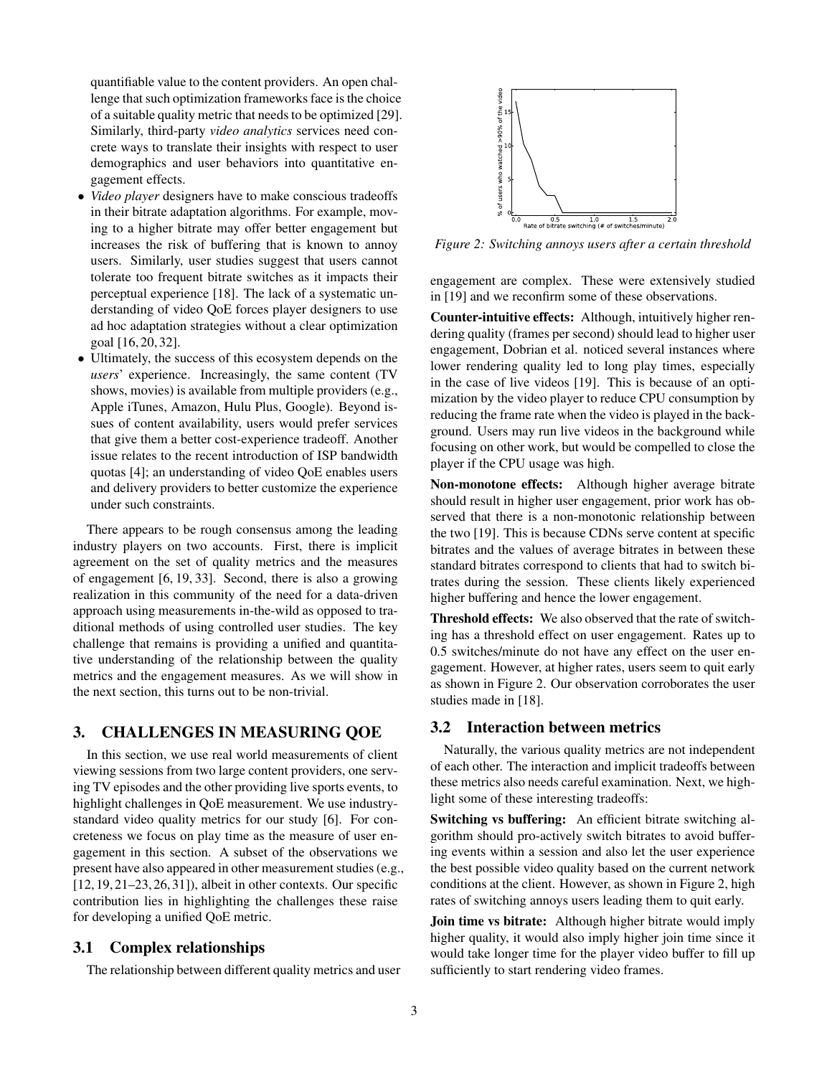quantifiable value to the content providers. An open challenge that such optimization frameworks face is the choice of a suitable quality metric that needs to be optimized [29]. Similarly, third-party *video analytics* services need concrete ways to translate their insights with respect to user demographics and user behaviors into quantitative engagement effects.

- *• Video player* designers have to make conscious tradeoffs in their bitrate adaptation algorithms. For example, moving to a higher bitrate may offer better engagement but increases the risk of buffering that is known to annoy users. Similarly, user studies suggest that users cannot tolerate too frequent bitrate switches as it impacts their perceptual experience [18]. The lack of a systematic understanding of video QoE forces player designers to use ad hoc adaptation strategies without a clear optimization goal [16, 20, 32].
- *•* Ultimately, the success of this ecosystem depends on the *users*' experience. Increasingly, the same content (TV shows, movies) is available from multiple providers (e.g., Apple iTunes, Amazon, Hulu Plus, Google). Beyond issues of content availability, users would prefer services that give them a better cost-experience tradeoff. Another issue relates to the recent introduction of ISP bandwidth quotas [4]; an understanding of video QoE enables users and delivery providers to better customize the experience under such constraints.

There appears to be rough consensus among the leading industry players on two accounts. First, there is implicit agreement on the set of quality metrics and the measures of engagement [6, 19, 33]. Second, there is also a growing realization in this community of the need for a data-driven approach using measurements in-the-wild as opposed to traditional methods of using controlled user studies. The key challenge that remains is providing a unified and quantitative understanding of the relationship between the quality metrics and the engagement measures. As we will show in the next section, this turns out to be non-trivial.

## 3. CHALLENGES IN MEASURING QOE

In this section, we use real world measurements of client viewing sessions from two large content providers, one serving TV episodes and the other providing live sports events, to highlight challenges in QoE measurement. We use industrystandard video quality metrics for our study [6]. For concreteness we focus on play time as the measure of user engagement in this section. A subset of the observations we present have also appeared in other measurement studies (e.g.,  $[12, 19, 21–23, 26, 31]$ , albeit in other contexts. Our specific contribution lies in highlighting the challenges these raise for developing a unified QoE metric.

#### 3.1 Complex relationships

The relationship between different quality metrics and user



*Figure 2: Switching annoys users after a certain threshold*

engagement are complex. These were extensively studied in [19] and we reconfirm some of these observations.

Counter-intuitive effects: Although, intuitively higher rendering quality (frames per second) should lead to higher user engagement, Dobrian et al. noticed several instances where lower rendering quality led to long play times, especially in the case of live videos [19]. This is because of an optimization by the video player to reduce CPU consumption by reducing the frame rate when the video is played in the background. Users may run live videos in the background while focusing on other work, but would be compelled to close the player if the CPU usage was high.

Non-monotone effects: Although higher average bitrate should result in higher user engagement, prior work has observed that there is a non-monotonic relationship between the two [19]. This is because CDNs serve content at specific bitrates and the values of average bitrates in between these standard bitrates correspond to clients that had to switch bitrates during the session. These clients likely experienced higher buffering and hence the lower engagement.

Threshold effects: We also observed that the rate of switching has a threshold effect on user engagement. Rates up to 0.5 switches/minute do not have any effect on the user engagement. However, at higher rates, users seem to quit early as shown in Figure 2. Our observation corroborates the user studies made in [18].

# 3.2 Interaction between metrics

Naturally, the various quality metrics are not independent of each other. The interaction and implicit tradeoffs between these metrics also needs careful examination. Next, we highlight some of these interesting tradeoffs:

Switching vs buffering: An efficient bitrate switching algorithm should pro-actively switch bitrates to avoid buffering events within a session and also let the user experience the best possible video quality based on the current network conditions at the client. However, as shown in Figure 2, high rates of switching annoys users leading them to quit early.

Join time vs bitrate: Although higher bitrate would imply higher quality, it would also imply higher join time since it would take longer time for the player video buffer to fill up sufficiently to start rendering video frames.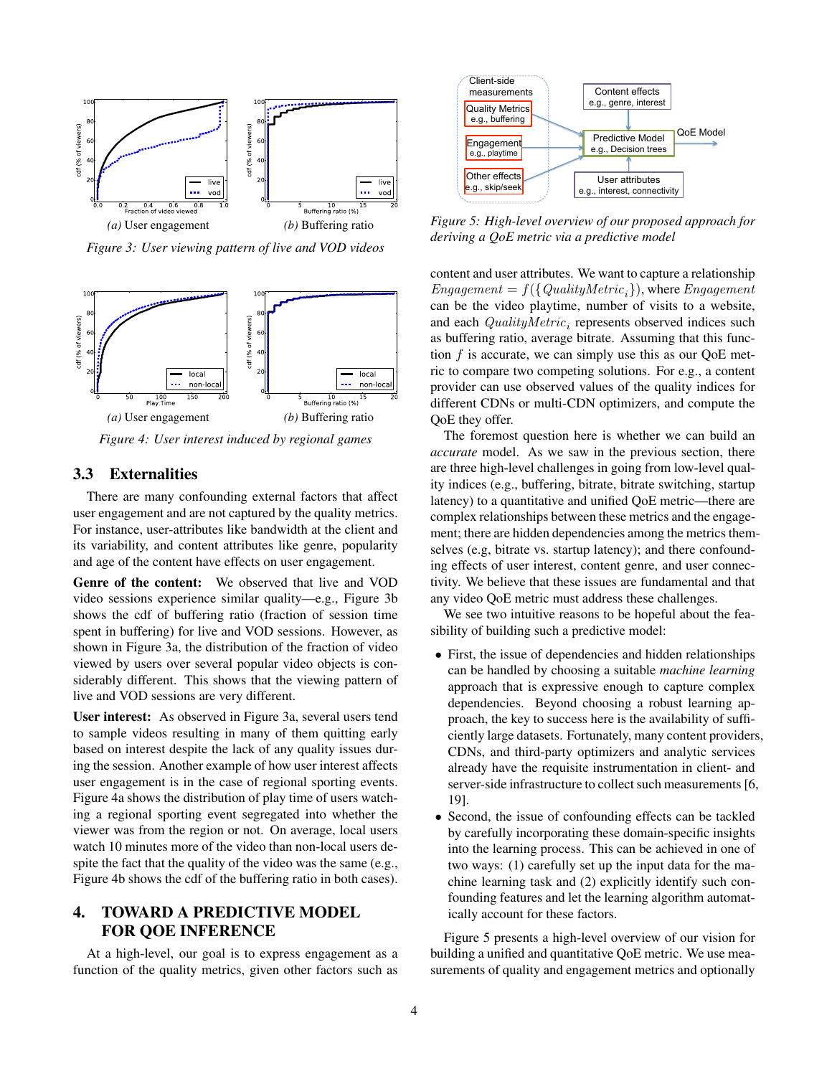

*Figure 3: User viewing pattern of live and VOD videos*



*Figure 4: User interest induced by regional games*

## 3.3 Externalities

There are many confounding external factors that affect user engagement and are not captured by the quality metrics. For instance, user-attributes like bandwidth at the client and its variability, and content attributes like genre, popularity and age of the content have effects on user engagement.

Genre of the content: We observed that live and VOD video sessions experience similar quality—e.g., Figure 3b shows the cdf of buffering ratio (fraction of session time spent in buffering) for live and VOD sessions. However, as shown in Figure 3a, the distribution of the fraction of video viewed by users over several popular video objects is considerably different. This shows that the viewing pattern of live and VOD sessions are very different.

User interest: As observed in Figure 3a, several users tend to sample videos resulting in many of them quitting early based on interest despite the lack of any quality issues during the session. Another example of how user interest affects user engagement is in the case of regional sporting events. Figure 4a shows the distribution of play time of users watching a regional sporting event segregated into whether the viewer was from the region or not. On average, local users watch 10 minutes more of the video than non-local users despite the fact that the quality of the video was the same (e.g., Figure 4b shows the cdf of the buffering ratio in both cases).

# 4. TOWARD A PREDICTIVE MODEL FOR QOE INFERENCE

At a high-level, our goal is to express engagement as a function of the quality metrics, given other factors such as



*Figure 5: High-level overview of our proposed approach for deriving a QoE metric via a predictive model*

content and user attributes. We want to capture a relationship *Engagement* =  $f$ ({*QualityMetric<sub>i</sub>}*), where *Engagement* can be the video playtime, number of visits to a website, and each *QualityMetric<sup>i</sup>* represents observed indices such as buffering ratio, average bitrate. Assuming that this function *f* is accurate, we can simply use this as our QoE metric to compare two competing solutions. For e.g., a content provider can use observed values of the quality indices for different CDNs or multi-CDN optimizers, and compute the QoE they offer.

The foremost question here is whether we can build an *accurate* model. As we saw in the previous section, there are three high-level challenges in going from low-level quality indices (e.g., buffering, bitrate, bitrate switching, startup latency) to a quantitative and unified QoE metric—there are complex relationships between these metrics and the engagement; there are hidden dependencies among the metrics themselves (e.g, bitrate vs. startup latency); and there confounding effects of user interest, content genre, and user connectivity. We believe that these issues are fundamental and that any video QoE metric must address these challenges.

We see two intuitive reasons to be hopeful about the feasibility of building such a predictive model:

- First, the issue of dependencies and hidden relationships can be handled by choosing a suitable *machine learning* approach that is expressive enough to capture complex dependencies. Beyond choosing a robust learning approach, the key to success here is the availability of sufficiently large datasets. Fortunately, many content providers, CDNs, and third-party optimizers and analytic services already have the requisite instrumentation in client- and server-side infrastructure to collect such measurements [6, 19].
- Second, the issue of confounding effects can be tackled by carefully incorporating these domain-specific insights into the learning process. This can be achieved in one of two ways: (1) carefully set up the input data for the machine learning task and (2) explicitly identify such confounding features and let the learning algorithm automatically account for these factors.

Figure 5 presents a high-level overview of our vision for building a unified and quantitative QoE metric. We use measurements of quality and engagement metrics and optionally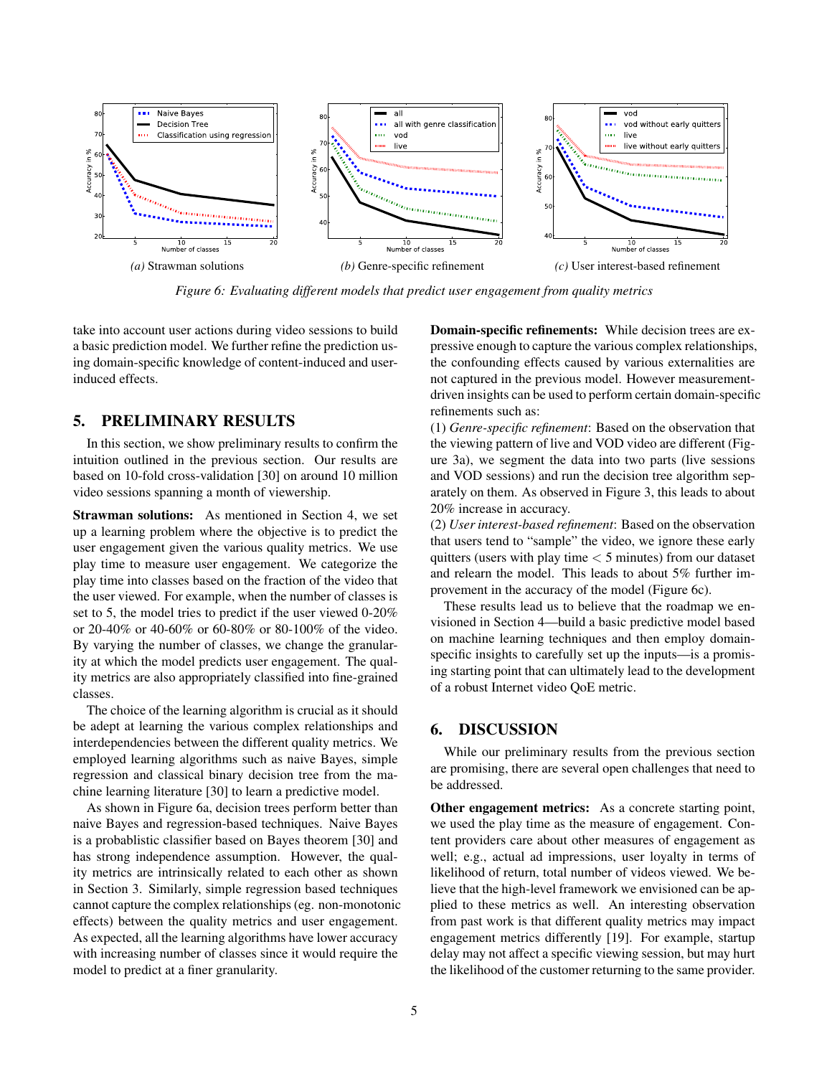

*Figure 6: Evaluating different models that predict user engagement from quality metrics*

take into account user actions during video sessions to build a basic prediction model. We further refine the prediction using domain-specific knowledge of content-induced and userinduced effects.

### 5. PRELIMINARY RESULTS

In this section, we show preliminary results to confirm the intuition outlined in the previous section. Our results are based on 10-fold cross-validation [30] on around 10 million video sessions spanning a month of viewership.

Strawman solutions: As mentioned in Section 4, we set up a learning problem where the objective is to predict the user engagement given the various quality metrics. We use play time to measure user engagement. We categorize the play time into classes based on the fraction of the video that the user viewed. For example, when the number of classes is set to 5, the model tries to predict if the user viewed 0-20% or 20-40% or 40-60% or 60-80% or 80-100% of the video. By varying the number of classes, we change the granularity at which the model predicts user engagement. The quality metrics are also appropriately classified into fine-grained classes.

The choice of the learning algorithm is crucial as it should be adept at learning the various complex relationships and interdependencies between the different quality metrics. We employed learning algorithms such as naive Bayes, simple regression and classical binary decision tree from the machine learning literature [30] to learn a predictive model.

As shown in Figure 6a, decision trees perform better than naive Bayes and regression-based techniques. Naive Bayes is a probablistic classifier based on Bayes theorem [30] and has strong independence assumption. However, the quality metrics are intrinsically related to each other as shown in Section 3. Similarly, simple regression based techniques cannot capture the complex relationships (eg. non-monotonic effects) between the quality metrics and user engagement. As expected, all the learning algorithms have lower accuracy with increasing number of classes since it would require the model to predict at a finer granularity.

Domain-specific refinements: While decision trees are expressive enough to capture the various complex relationships, the confounding effects caused by various externalities are not captured in the previous model. However measurementdriven insights can be used to perform certain domain-specific refinements such as:

(1) *Genre-specific refinement*: Based on the observation that the viewing pattern of live and VOD video are different (Figure 3a), we segment the data into two parts (live sessions and VOD sessions) and run the decision tree algorithm separately on them. As observed in Figure 3, this leads to about 20% increase in accuracy.

(2) *User interest-based refinement*: Based on the observation that users tend to "sample" the video, we ignore these early quitters (users with play time *<* 5 minutes) from our dataset and relearn the model. This leads to about 5% further improvement in the accuracy of the model (Figure 6c).

These results lead us to believe that the roadmap we envisioned in Section 4—build a basic predictive model based on machine learning techniques and then employ domainspecific insights to carefully set up the inputs—is a promising starting point that can ultimately lead to the development of a robust Internet video QoE metric.

#### 6. DISCUSSION

While our preliminary results from the previous section are promising, there are several open challenges that need to be addressed.

Other engagement metrics: As a concrete starting point, we used the play time as the measure of engagement. Content providers care about other measures of engagement as well; e.g., actual ad impressions, user loyalty in terms of likelihood of return, total number of videos viewed. We believe that the high-level framework we envisioned can be applied to these metrics as well. An interesting observation from past work is that different quality metrics may impact engagement metrics differently [19]. For example, startup delay may not affect a specific viewing session, but may hurt the likelihood of the customer returning to the same provider.